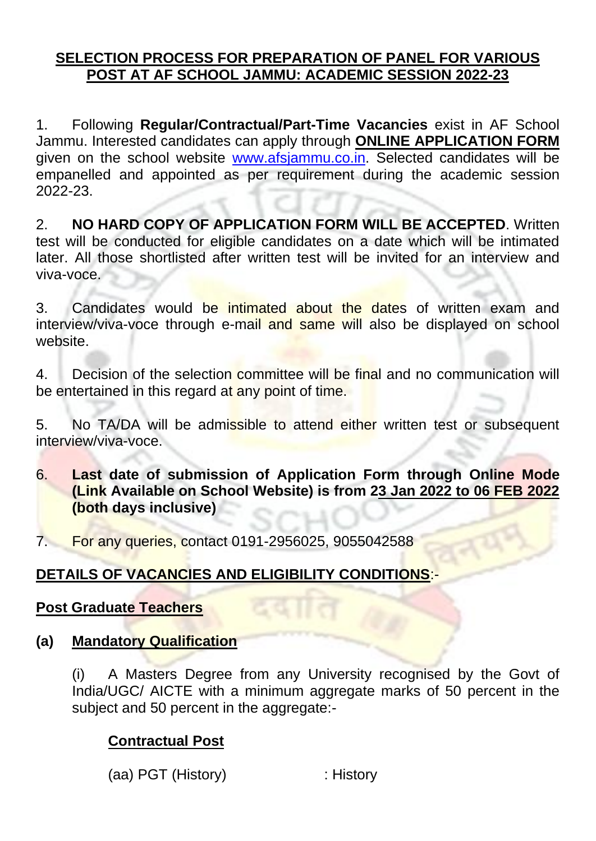#### **SELECTION PROCESS FOR PREPARATION OF PANEL FOR VARIOUS POST AT AF SCHOOL JAMMU: ACADEMIC SESSION 2022-23**

1. Following **Regular/Contractual/Part-Time Vacancies** exist in AF School Jammu. Interested candidates can apply through **ONLINE APPLICATION FORM** given on the school website [www.afsjammu.co.in.](http://www.afsjammu.co.in/) Selected candidates will be empanelled and appointed as per requirement during the academic session 2022-23.

2. **NO HARD COPY OF APPLICATION FORM WILL BE ACCEPTED**. Written test will be conducted for eligible candidates on a date which will be intimated later. All those shortlisted after written test will be invited for an interview and viva-voce.

3. Candidates would be intimated about the dates of written exam and interview/viva-voce through e-mail and same will also be displayed on school website.

4. Decision of the selection committee will be final and no communication will be entertained in this regard at any point of time.

5. No TA/DA will be admissible to attend either written test or subsequent interview/viva-voce.

6. **Last date of submission of Application Form through Online Mode (Link Available on School Website) is from 23 Jan 2022 to 06 FEB 2022 (both days inclusive)** 

7. For any queries, contact 0191-2956025, 9055042588

### **DETAILS OF VACANCIES AND ELIGIBILITY CONDITIONS**:-

#### **Post Graduate Teachers**

**(a) Mandatory Qualification**

(i) A Masters Degree from any University recognised by the Govt of India/UGC/ AICTE with a minimum aggregate marks of 50 percent in the subject and 50 percent in the aggregate:-

### **Contractual Post**

(aa) PGT (History) : History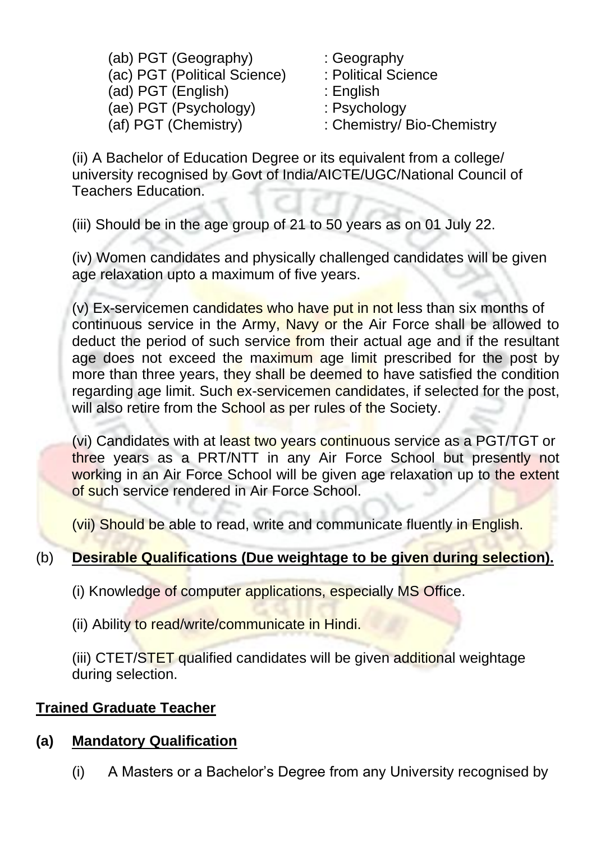(ab) PGT (Geography) : Geography (ac) PGT (Political Science) : Political Science (ad) PGT (English) : English (ae) PGT (Psychology) : Psychology (af) PGT (Chemistry) : Chemistry/ Bio-Chemistry

(ii) A Bachelor of Education Degree or its equivalent from a college/ university recognised by Govt of India/AICTE/UGC/National Council of Teachers Education.

(iii) Should be in the age group of 21 to 50 years as on 01 July 22.

(iv) Women candidates and physically challenged candidates will be given age relaxation upto a maximum of five years.

(v) Ex-servicemen candidates who have put in not less than six months of continuous service in the Army, Navy or the Air Force shall be allowed to deduct the period of such service from their actual age and if the resultant age does not exceed the maximum age limit prescribed for the post by more than three years, they shall be deemed to have satisfied the condition regarding age limit. Such ex-servicemen candidates, if selected for the post, will also retire from the School as per rules of the Society.

(vi) Candidates with at least two years continuous service as a PGT/TGT or three years as a PRT/NTT in any Air Force School but presently not working in an Air Force School will be given age relaxation up to the extent of such service rendered in Air Force School.

(vii) Should be able to read, write and communicate fluently in English.

# (b) **Desirable Qualifications (Due weightage to be given during selection).**

- (i) Knowledge of computer applications, especially MS Office.
- (ii) Ability to read/write/communicate in Hindi.

(iii) CTET/STET qualified candidates will be given additional weightage during selection.

### **Trained Graduate Teacher**

### **(a) Mandatory Qualification**

(i) A Masters or a Bachelor's Degree from any University recognised by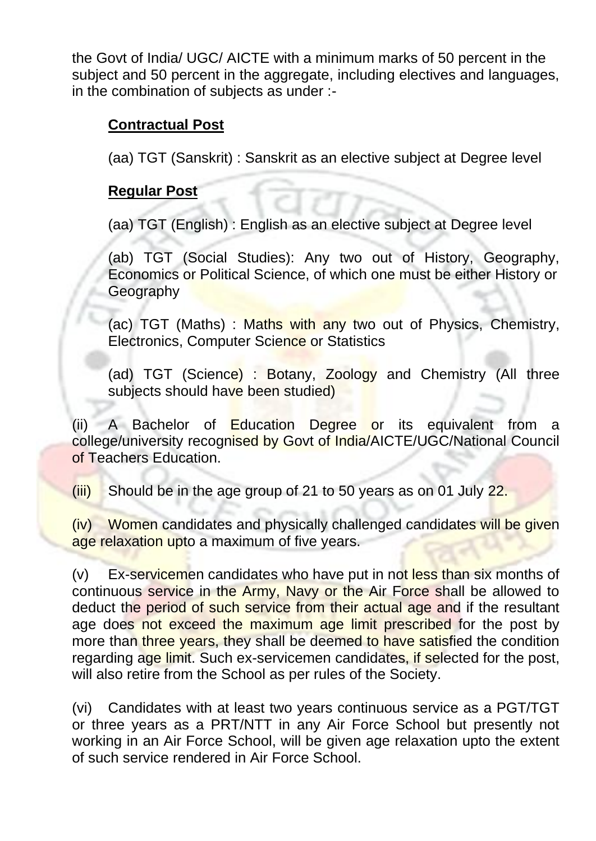the Govt of India/ UGC/ AICTE with a minimum marks of 50 percent in the subject and 50 percent in the aggregate, including electives and languages, in the combination of subjects as under :-

#### **Contractual Post**

(aa) TGT (Sanskrit) : Sanskrit as an elective subject at Degree level

#### **Regular Post**

(aa) TGT (English) : English as an elective subject at Degree level

(ab) TGT (Social Studies): Any two out of History, Geography, Economics or Political Science, of which one must be either History or Geography

(ac) TGT (Maths) : Maths with any two out of Physics, Chemistry, Electronics, Computer Science or Statistics

(ad) TGT (Science) : Botany, Zoology and Chemistry (All three subjects should have been studied)

(ii) A Bachelor of Education Degree or its equivalent from a college/university recognised by Govt of India/AICTE/UGC/National Council of Teachers Education.

 $(iii)$  Should be in the age group of 21 to 50 years as on 01 July 22.

(iv) Women candidates and physically challenged candidates will be given age relaxation upto a maximum of five years.

(v) Ex-servicemen candidates who have put in not less than six months of continuous service in the Army, Navy or the Air Force shall be allowed to deduct the period of such service from their actual age and if the resultant age does not exceed the maximum age limit prescribed for the post by more than three years, they shall be deemed to have satisfied the condition regarding age limit. Such ex-servicemen candidates, if selected for the post, will also retire from the School as per rules of the Society.

(vi) Candidates with at least two years continuous service as a PGT/TGT or three years as a PRT/NTT in any Air Force School but presently not working in an Air Force School, will be given age relaxation upto the extent of such service rendered in Air Force School.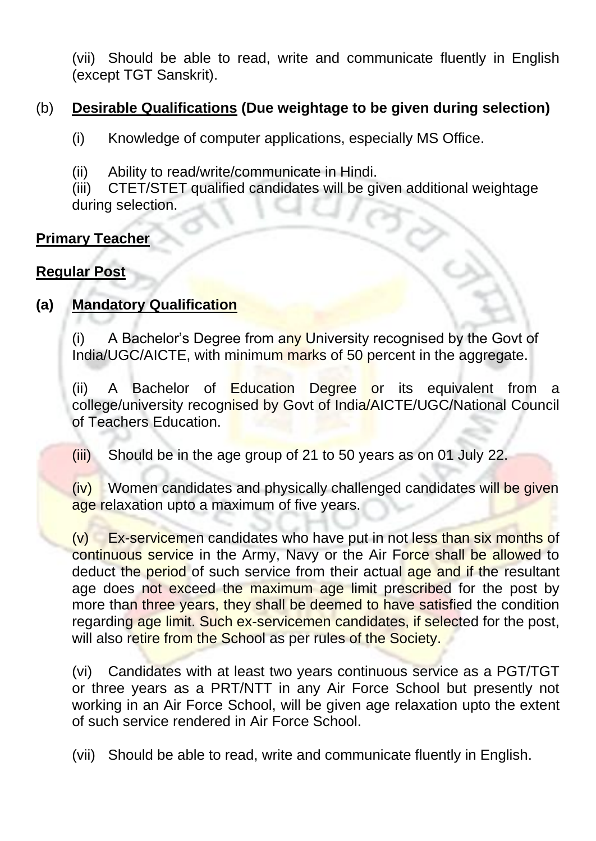(vii) Should be able to read, write and communicate fluently in English (except TGT Sanskrit).

#### (b) **Desirable Qualifications (Due weightage to be given during selection)**

- (i) Knowledge of computer applications, especially MS Office.
- (ii) Ability to read/write/communicate in Hindi.

(iii) CTET/STET qualified candidates will be given additional weightage during selection.

# **Primary Teacher**

### **Regular Post**

# **(a) Mandatory Qualification**

(i) A Bachelor's Degree from any University recognised by the Govt of India/UGC/AICTE, with minimum marks of 50 percent in the aggregate.

(ii) A Bachelor of Education Degree or its equivalent from a college/university recognised by Govt of India/AICTE/UGC/National Council of Teachers Education.

(iii) Should be in the age group of 21 to 50 years as on 01 July 22.

(iv) Women candidates and physically challenged candidates will be given age relaxation upto a maximum of five years.

(v) Ex-servicemen candidates who have put in not less than six months of continuous service in the Army, Navy or the Air Force shall be allowed to deduct the period of such service from their actual age and if the resultant age does not exceed the maximum age limit prescribed for the post by more than three years, they shall be deemed to have satisfied the condition regarding age limit. Such ex-servicemen candidates, if selected for the post, will also retire from the School as per rules of the Society.

(vi) Candidates with at least two years continuous service as a PGT/TGT or three years as a PRT/NTT in any Air Force School but presently not working in an Air Force School, will be given age relaxation upto the extent of such service rendered in Air Force School.

(vii) Should be able to read, write and communicate fluently in English.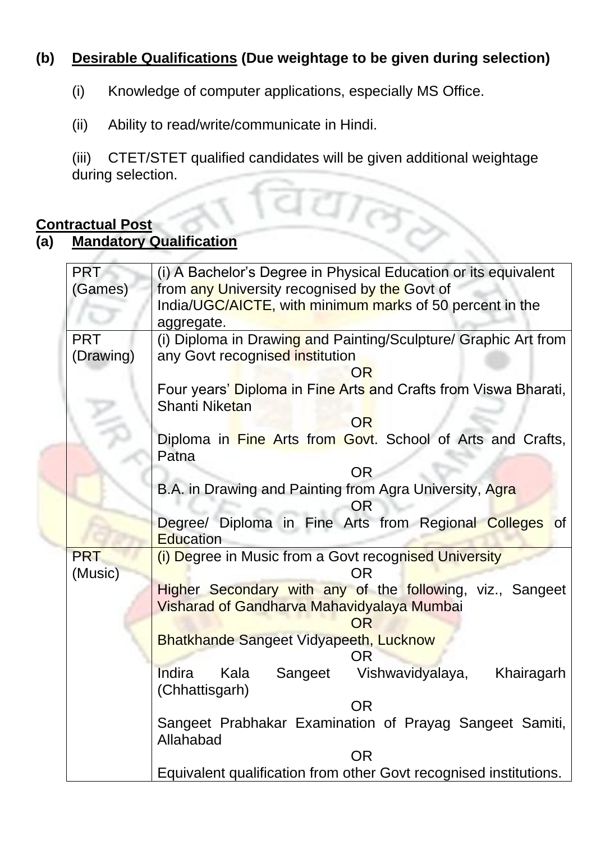# **(b) Desirable Qualifications (Due weightage to be given during selection)**

- (i) Knowledge of computer applications, especially MS Office.
- (ii) Ability to read/write/communicate in Hindi.

(iii) CTET/STET qualified candidates will be given additional weightage during selection.

#### **Contractual Post**

### **(a) Mandatory Qualification**

| during selection.     |                                                                                                         |  |  |  |  |  |  |
|-----------------------|---------------------------------------------------------------------------------------------------------|--|--|--|--|--|--|
|                       |                                                                                                         |  |  |  |  |  |  |
| <u>ntractual Post</u> |                                                                                                         |  |  |  |  |  |  |
|                       | <b>Mandatory Qualification</b>                                                                          |  |  |  |  |  |  |
| <b>PRT</b>            | (i) A Bachelor's Degree in Physical Education or its equivalent                                         |  |  |  |  |  |  |
| (Games)               | from any University recognised by the Govt of                                                           |  |  |  |  |  |  |
|                       | India/UGC/AICTE, with minimum marks of 50 percent in the                                                |  |  |  |  |  |  |
|                       | aggregate.                                                                                              |  |  |  |  |  |  |
| <b>PRT</b>            | (i) Diploma in Drawing and Painting/Sculpture/ Graphic Art from                                         |  |  |  |  |  |  |
| (Drawing)             | any Govt recognised institution                                                                         |  |  |  |  |  |  |
|                       | <b>OR</b><br>Four years' Diploma in Fine Arts and Crafts from Viswa Bharati,                            |  |  |  |  |  |  |
|                       | Shanti Niketan                                                                                          |  |  |  |  |  |  |
|                       | <b>OR</b>                                                                                               |  |  |  |  |  |  |
|                       | Diploma in Fine Arts from Govt. School of Arts and Crafts,                                              |  |  |  |  |  |  |
|                       | Patna                                                                                                   |  |  |  |  |  |  |
|                       | <b>OR</b><br>B.A. in Drawing and Painting from Agra University, Agra                                    |  |  |  |  |  |  |
|                       | OR                                                                                                      |  |  |  |  |  |  |
|                       | Degree/ Diploma in Fine Arts from Regional Colleges of                                                  |  |  |  |  |  |  |
|                       | <b>Education</b>                                                                                        |  |  |  |  |  |  |
| <b>PRT</b>            | (i) Degree in Music from a Govt recognised University                                                   |  |  |  |  |  |  |
| (Music)               | ΟR                                                                                                      |  |  |  |  |  |  |
|                       | Higher Secondary with any of the following, viz., Sangeet<br>Visharad of Gandharva Mahavidyalaya Mumbai |  |  |  |  |  |  |
|                       | OR                                                                                                      |  |  |  |  |  |  |
|                       | <b>Bhatkhande Sangeet Vidyapeeth, Lucknow</b>                                                           |  |  |  |  |  |  |
|                       | OR.                                                                                                     |  |  |  |  |  |  |
|                       | Vishwavidyalaya,<br>Indira<br>Khairagarh<br>Kala<br>Sangeet<br>(Chhattisgarh)                           |  |  |  |  |  |  |
|                       | <b>OR</b>                                                                                               |  |  |  |  |  |  |
|                       | Sangeet Prabhakar Examination of Prayag Sangeet Samiti,                                                 |  |  |  |  |  |  |
|                       | Allahabad                                                                                               |  |  |  |  |  |  |
|                       | <b>OR</b>                                                                                               |  |  |  |  |  |  |
|                       | Equivalent qualification from other Govt recognised institutions.                                       |  |  |  |  |  |  |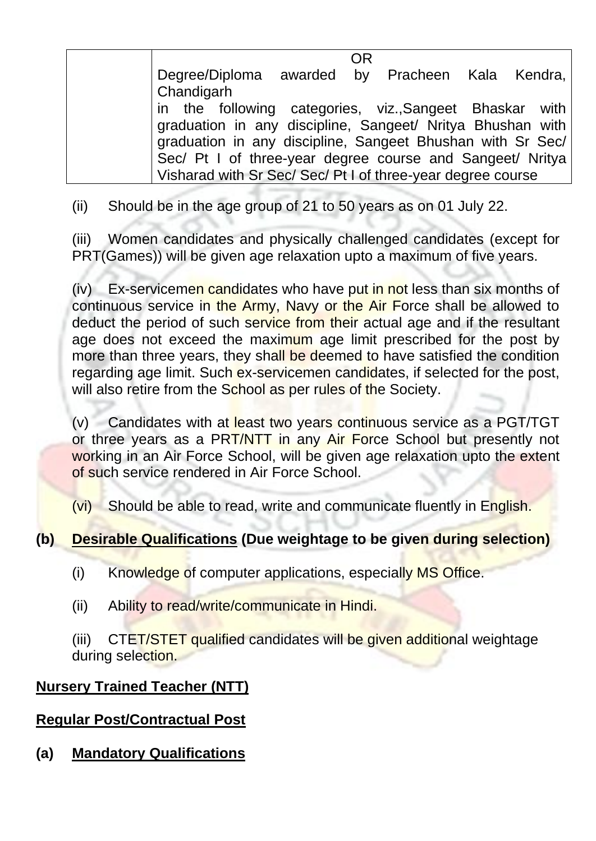|                                                                                                                          | ΟR |  |  |
|--------------------------------------------------------------------------------------------------------------------------|----|--|--|
| Degree/Diploma awarded by Pracheen Kala Kendra,<br>Chandigarh                                                            |    |  |  |
| in the following categories, viz., Sangeet Bhaskar with                                                                  |    |  |  |
| graduation in any discipline, Sangeet/ Nritya Bhushan with<br>graduation in any discipline, Sangeet Bhushan with Sr Sec/ |    |  |  |
| Sec/ Pt I of three-year degree course and Sangeet/ Nritya                                                                |    |  |  |
| Visharad with Sr Sec/ Sec/ Pt I of three-year degree course                                                              |    |  |  |

(ii) Should be in the age group of 21 to 50 years as on 01 July 22.

(iii) Women candidates and physically challenged candidates (except for PRT(Games)) will be given age relaxation upto a maximum of five years.

(iv) Ex-servicemen candidates who have put in not less than six months of continuous service in the Army, Navy or the Air Force shall be allowed to deduct the period of such service from their actual age and if the resultant age does not exceed the maximum age limit prescribed for the post by more than three years, they shall be deemed to have satisfied the condition regarding age limit. Such ex-servicemen candidates, if selected for the post, will also retire from the School as per rules of the Society.

(v) Candidates with at least two years continuous service as a PGT/TGT or three years as a PRT/NTT in any Air Force School but presently not working in an Air Force School, will be given age relaxation upto the extent of such service rendered in Air Force School.

(vi) Should be able to read, write and communicate fluently in English.

# **(b) Desirable Qualifications (Due weightage to be given during selection)**

(i) Knowledge of computer applications, especially MS Office.

(ii) Ability to read/write/communicate in Hindi.

(iii) CTET/STET qualified candidates will be given additional weightage during selection.

### **Nursery Trained Teacher (NTT)**

### **Regular Post/Contractual Post**

**(a) Mandatory Qualifications**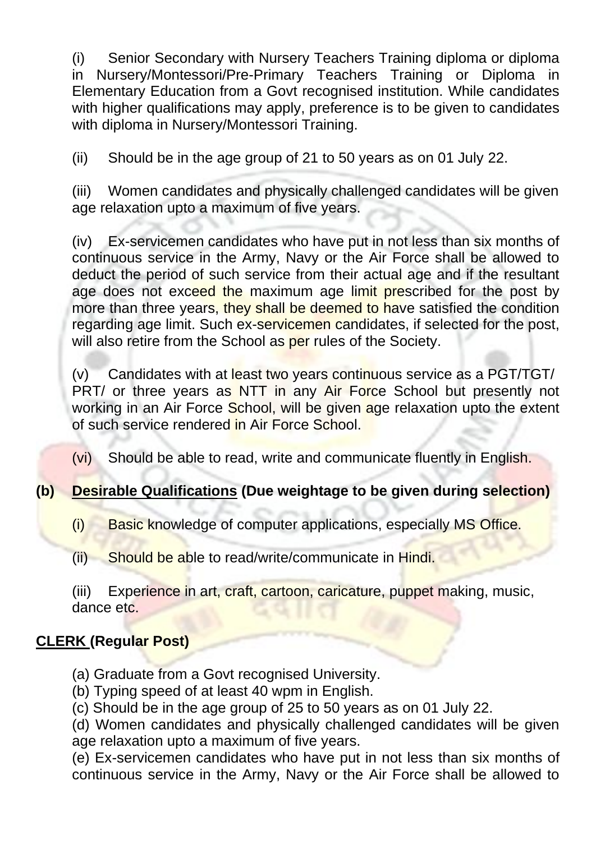(i) Senior Secondary with Nursery Teachers Training diploma or diploma in Nursery/Montessori/Pre-Primary Teachers Training or Diploma in Elementary Education from a Govt recognised institution. While candidates with higher qualifications may apply, preference is to be given to candidates with diploma in Nursery/Montessori Training.

(ii) Should be in the age group of 21 to 50 years as on 01 July 22.

(iii) Women candidates and physically challenged candidates will be given age relaxation upto a maximum of five years.

(iv) Ex-servicemen candidates who have put in not less than six months of continuous service in the Army, Navy or the Air Force shall be allowed to deduct the period of such service from their actual age and if the resultant age does not exceed the maximum age limit prescribed for the post by more than three years, they shall be deemed to have satisfied the condition regarding age limit. Such ex-servicemen candidates, if selected for the post, will also retire from the School as per rules of the Society.

 $(v)$  Candidates with at least two years continuous service as a PGT/TGT/ PRT/ or three years as NTT in any Air Force School but presently not working in an Air Force School, will be given age relaxation upto the extent of such service rendered in Air Force School.

(vi) Should be able to read, write and communicate fluently in English.

# **(b) Desirable Qualifications (Due weightage to be given during selection)**

- (i) Basic knowledge of computer applications, especially MS Office.
- (ii) Should be able to read/write/communicate in Hindi.

(iii) Experience in art, craft, cartoon, caricature, puppet making, music, dance etc.

# **CLERK (Regular Post)**

- (a) Graduate from a Govt recognised University.
- (b) Typing speed of at least 40 wpm in English.
- (c) Should be in the age group of 25 to 50 years as on 01 July 22.

(d) Women candidates and physically challenged candidates will be given age relaxation upto a maximum of five years.

(e) Ex-servicemen candidates who have put in not less than six months of continuous service in the Army, Navy or the Air Force shall be allowed to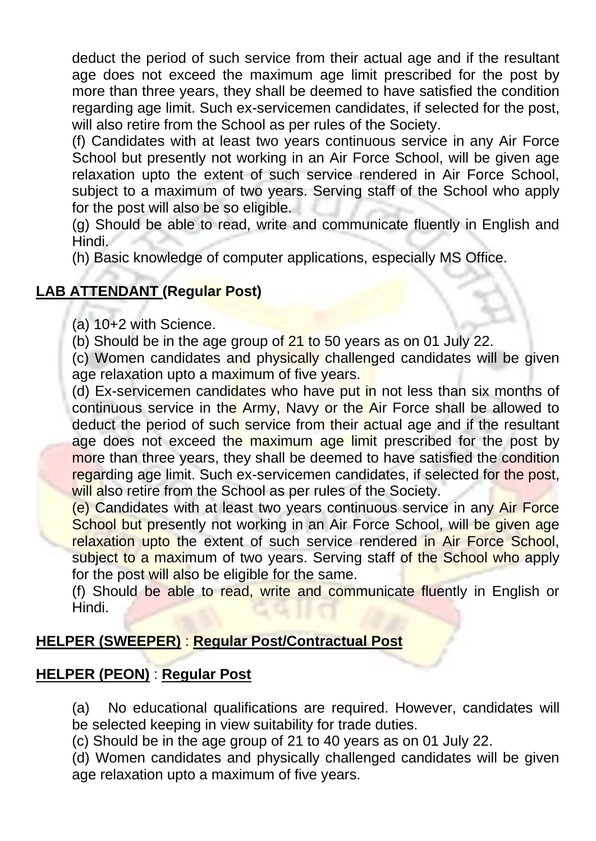deduct the period of such service from their actual age and if the resultant age does not exceed the maximum age limit prescribed for the post by more than three years, they shall be deemed to have satisfied the condition regarding age limit. Such ex-servicemen candidates, if selected for the post, will also retire from the School as per rules of the Society.

(f) Candidates with at least two years continuous service in any Air Force School but presently not working in an Air Force School, will be given age relaxation upto the extent of such service rendered in Air Force School, subject to a maximum of two years. Serving staff of the School who apply for the post will also be so eligible.

(g) Should be able to read, write and communicate fluently in English and Hindi.

(h) Basic knowledge of computer applications, especially MS Office.

# **LAB ATTENDANT (Regular Post)**

(a) 10+2 with Science.

(b) Should be in the age group of 21 to 50 years as on 01 July 22.

(c) Women candidates and physically challenged candidates will be given age relaxation upto a maximum of five years.

(d) Ex-servicemen candidates who have put in not less than six months of continuous service in the Army, Navy or the Air Force shall be allowed to deduct the period of such service from their actual age and if the resultant age does not exceed the maximum age limit prescribed for the post by more than three years, they shall be deemed to have satisfied the condition regarding age limit. Such ex-servicemen candidates, if selected for the post, will also retire from the School as per rules of the Society.

(e) Candidates with at least two years continuous service in any Air Force School but presently not working in an Air Force School, will be given age relaxation upto the extent of such service rendered in Air Force School, subject to a maximum of two years. Serving staff of the School who apply for the post will also be eligible for the same.

(f) Should be able to read, write and communicate fluently in English or Hindi.

### **HELPER (SWEEPER)** : **Regular Post/Contractual Post**

### **HELPER (PEON)** : **Regular Post**

(a) No educational qualifications are required. However, candidates will be selected keeping in view suitability for trade duties.

(c) Should be in the age group of 21 to 40 years as on 01 July 22.

(d) Women candidates and physically challenged candidates will be given age relaxation upto a maximum of five years.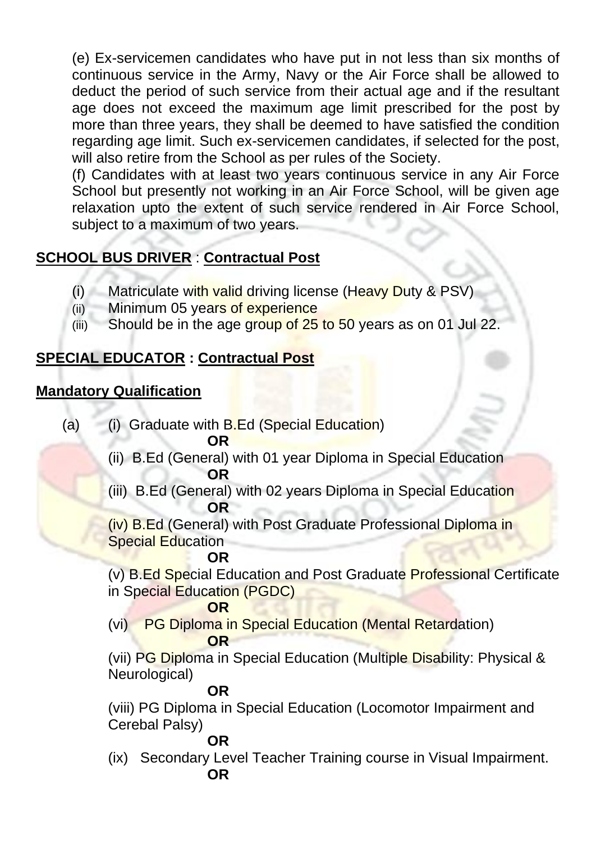(e) Ex-servicemen candidates who have put in not less than six months of continuous service in the Army, Navy or the Air Force shall be allowed to deduct the period of such service from their actual age and if the resultant age does not exceed the maximum age limit prescribed for the post by more than three years, they shall be deemed to have satisfied the condition regarding age limit. Such ex-servicemen candidates, if selected for the post, will also retire from the School as per rules of the Society.

(f) Candidates with at least two years continuous service in any Air Force School but presently not working in an Air Force School, will be given age relaxation upto the extent of such service rendered in Air Force School, subject to a maximum of two years.

# **SCHOOL BUS DRIVER** : **Contractual Post**

- (i) Matriculate with valid driving license (Heavy Duty & PSV)
- (ii) Minimum 05 years of experience
- (iii) Should be in the age group of  $25$  to  $50$  years as on 01 Jul 22.

# **SPECIAL EDUCATOR : Contractual Post**

# **Mandatory Qualification**

- (a) (i) Graduate with B.Ed (Special Education) **DR**
- (ii) B.Ed (General) with 01 year Diploma in Special Education **OR** 
	- (iii) B.Ed (General) with 02 years Diploma in Special Education **OR**

(iv) B.Ed (General) with Post Graduate Professional Diploma in Special Education

**OR** (v) B.Ed Special Education and Post Graduate Professional Certificate in Special Education (PGDC)

#### **OR**

(vi) PG Diploma in Special Education (Mental Retardation) **OR** 

(vii) PG Diploma in Special Education (Multiple Disability: Physical & Neurological)

#### **OR**

(viii) PG Diploma in Special Education (Locomotor Impairment and Cerebal Palsy)

#### **OR**

(ix) Secondary Level Teacher Training course in Visual Impairment. **OR**